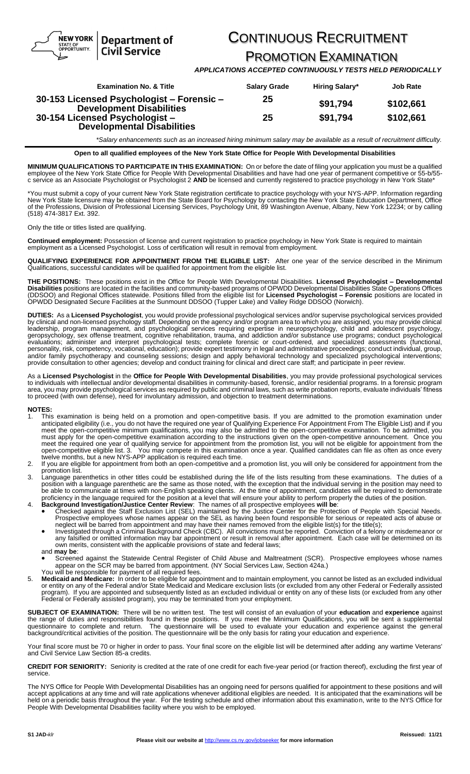NEW YORK **Department of Civil Service** 

## CONTINUOUS RECRUITMENT

PROMOTION EXAMINATION

*APPLICATIONS ACCEPTED CONTINUOUSLY TESTS HELD PERIODICALLY*

| <b>Examination No. &amp; Title</b>                                           | <b>Salary Grade</b> | <b>Hiring Salary*</b> | <b>Job Rate</b> |
|------------------------------------------------------------------------------|---------------------|-----------------------|-----------------|
| 30-153 Licensed Psychologist - Forensic -<br><b>Development Disabilities</b> | 25                  | \$91,794              | \$102,661       |
| 30-154 Licensed Psychologist -<br><b>Developmental Disabilities</b>          | 25                  | \$91.794              | \$102,661       |

*\*Salary enhancements such as an increased hiring minimum salary may be available as a result of recruitment difficulty.*

**Open to all qualified employees of the New York State Office for People With Developmental Disabilities**

**MINIMUM QUALIFICATIONS TO PARTICIPATE IN THIS EXAMINATION:** On or before the date of filing your application you must be a qualified employee of the New York State Office for People With Developmental Disabilities and have had one year of permanent competitive or 55-b/55 c service as an Associate Psychologist or Psychologist 2 **AND** be licensed and currently registered to practice psychology in New York State\*

\*You must submit a copy of your current New York State registration certificate to practice psychology with your NYS-APP. Information regarding New York State licensure may be obtained from the State Board for Psychology by contacting the New York State Education Department, Office of the Professions, Division of Professional Licensing Services, Psychology Unit, 89 Washington Avenue, Albany, New York 12234; or by calling (518) 474-3817 Ext. 392.

Only the title or titles listed are qualifying.

STATE OF OPPORTUNITY.

**Continued employment:** Possession of license and current registration to practice psychology in New York State is required to maintain employment as a Licensed Psychologist. Loss of certification will result in removal from employment.

**QUALIFYING EXPERIENCE FOR APPOINTMENT FROM THE ELIGIBLE LIST:** After one year of the service described in the Minimum Qualifications, successful candidates will be qualified for appointment from the eligible list.

**THE POSITIONS:** These positions exist in the Office for People With Developmental Disabilities. **Licensed Psychologist – Developmental Disabilities** positions are located in the facilities and community-based programs of OPWDD Developmental Disabilities State Operations Offices (DDSOO) and Regional Offices statewide. Positions filled from the eligible list for **Licensed Psychologist – Forensic** positions are located in OPWDD Designated Secure Facilities at the Sunmount DDSOO (Tupper Lake) and Valley Ridge DDSOO (Norwich).

**DUTIES:** As a **Licensed Psychologist**, you would provide professional psychological services and/or supervise psychological services provided by clinical and non-licensed psychology staff. Depending on the agency and/or program area to which you are assigned, you may provide clinical leadership, program management, and psychological services requiring expertise in neuropsychology, child and adolescent psychology, geropsychology, sex offense treatment, cognitive rehabilitation, trauma, and addiction and/or substance use programs; conduct psychological evaluations; administer and interpret psychological tests; complete forensic or court-ordered, and specialized assessments (functional, personality, risk, competency, vocational, education); provide expert testimony in legal and administrative proceedings; conduct individual, group, and/or family psychotherapy and counseling sessions; design and apply behavioral technology and specialized psychological interventions; provide consultation to other agencies; develop and conduct training for clinical and direct care staff; and participate in peer review.

As a **Licensed Psychologist** in the **Office for People With Developmental Disabilities**, you may provide professional psychological services to individuals with intellectual and/or developmental disabilities in community-based, forensic, and/or residential programs. In a forensic program area, you may provide psychological services as required by public and criminal laws, such as write probation reports, evaluate individuals' fitness to proceed (with own defense), need for involuntary admission, and objection to treatment determinations.

**NOTES:** 

- 1. This examination is being held on a promotion and open-competitive basis. If you are admitted to the promotion examination under anticipated eligibility (i.e., you do not have the required one year of Qualifying Experience For Appointment From The Eligible List) and if you meet the open-competitive minimum qualifications, you may also be admitted to the open-competitive examination. To be admitted, you must apply for the open-competitive examination according to the instructions given on the open-competitive announcement. Once you meet the required one year of qualifying service for appointment from the promotion list, you will not be eligible for appointment from the open-competitive eligible list. 3. You may compete in this examination once a year. Qualified candidates can file as often as once every twelve months, but a new NYS-APP application is required each time.
- 2. If you are eligible for appointment from both an open-competitive and a promotion list, you will only be considered for appointment from the promotion list.
- 3. Language parenthetics in other titles could be established during the life of the lists resulting from these examinations. The duties of a position with a language parenthetic are the same as those noted, with the exception that the individual serving in the position may need to be able to communicate at times with non-English speaking clients. At the time of appointment, candidates will be required to demonstrate proficiency in the language required for the position at a level that will ensure your ability to perform properly the duties of the position.
- 4. **Background Investigation/Justice Center Review**: The names of all prospective employees will be:<br>• Checked against the Staff Exclusion List (SEL) maintained by the Justice Center for the Protection of People with Speci Prospective employees whose names appear on the SEL as having been found responsible for serious or repeated acts of abuse or
	- neglect will be barred from appointment and may have their names removed from the eligible list(s) for the title(s);<br>Investigated through a Criminal Background Check (CBC). All convictions must be reported. Conviction of any falsified or omitted information may bar appointment or result in removal after appointment. Each case will be determined on its own merits, consistent with the applicable provisions of state and federal laws; and **may be**:
	- Screened against the Statewide Central Register of Child Abuse and Maltreatment (SCR). Prospective employees whose names appear on the SCR may be barred from appointment. (NY Social Services Law, Section 424a.) You will be responsible for payment of all required fees.
- 5. **Medicaid and Medicare:** In order to be eligible for appointment and to maintain employment, you cannot be listed as an excluded individual or entity on any of the Federal and/or State Medicaid and Medicare exclusion lists (or excluded from any other Federal or Federally assisted program). If you are appointed and subsequently listed as an excluded individual or entity on any of these lists (or excluded from any other Federal or Federally assisted program), you may be terminated from your employment.

**SUBJECT OF EXAMINATION:** There will be no written test. The test will consist of an evaluation of your **education** and **experience** against the range of duties and responsibilities found in these positions. If you meet the Minimum Qualifications, you will be sent a supplemental questionnaire to complete and return. The questionnaire will be used to evaluate your education and experience against the general background/critical activities of the position. The questionnaire will be the only basis for rating your education and experience.

Your final score must be 70 or higher in order to pass. Your final score on the eligible list will be determined after adding any wartime Veterans' and Civil Service Law Section 85-a credits.

**CREDIT FOR SENIORITY:** Seniority is credited at the rate of one credit for each five-year period (or fraction thereof), excluding the first year of service.

The NYS Office for People With Developmental Disabilities has an ongoing need for persons qualified for appointment to these positions and will accept applications at any time and will rate applications whenever additional eligibles are needed. It is anticipated that the examinations will be held on a periodic basis throughout the year. For the testing schedule and other information about this examination, write to the NYS Office for People With Developmental Disabilities facility where you wish to be employed.